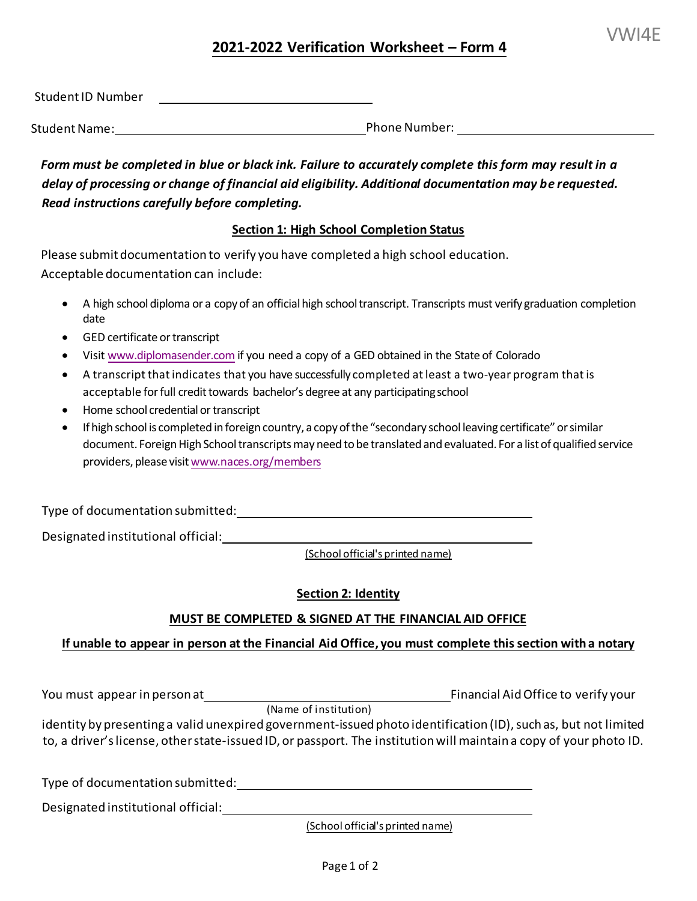# **2021-2022 Verification Worksheet – Form 4**

Student Name: Phone Number:

*Form must be completed in blue or black ink. Failure to accurately complete this form may result in a delay of processing or change of financial aid eligibility. Additional documentation may be requested. Read instructions carefully before completing.* 

## **Section 1: High School Completion Status**

Please submit documentation to verify you have completed a high school education. Acceptable documentation can include:

- • A high school diploma or a copy of an official high school transcript. Transcripts must verify graduation completion date
- GED certificate or transcript
- Visit [www.diplomasender.com](http://www.diplomasender.com/) if you need a copy of a GED obtained in the State of Colorado
- • A transcript that indicates that you have successfully completed at least a two-year program that is acceptable for full credit towards bachelor's degree at any participating school
- Home school credential or transcript
- • [If high school is completed in foreign country, a copy of the "secondary school leaving certificate" or similar](http://www.naces.org/members) providers, please visit <u><www.naces.org/members></u> document. Foreign High School transcripts may need to be translated and evaluated. For a list of qualified service

Type of documentation submitted:

Designated institutional official:

(School official's printed name)

# **Section 2: Identity**

# **MUST BE COMPLETED & SIGNED AT THE FINANCIAL AID OFFICE**

## **If unable to appear in person at the Financial Aid Office, you must complete this section with a notary**

You must appear in person at\_\_\_\_\_\_\_\_\_\_ You must appear in person at reason to the set of the Financial Aid Office to verify your

(Name of institution)

 identity by presenting a valid unexpired government-issued photo identification (ID), such as, but not limited to, a driver's license, other state-issued ID, or passport. The institution will maintain a copy of your photo ID.

Type of documentation submitted:

Designated institutional official:

(School official's printed name)